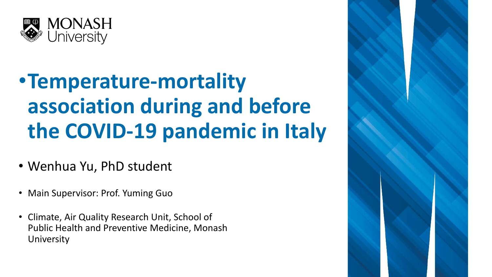

# •**Temperature-mortality association during and before the COVID-19 pandemic in Italy**

- Wenhua Yu, PhD student
- Main Supervisor: Prof. Yuming Guo
- Climate, Air Quality Research Unit, School of Public Health and Preventive Medicine, Monash University

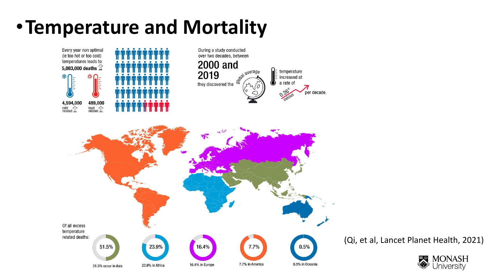## •**Temperature and Mortality**



(Qi, et al, Lancet Planet Health, 2021)

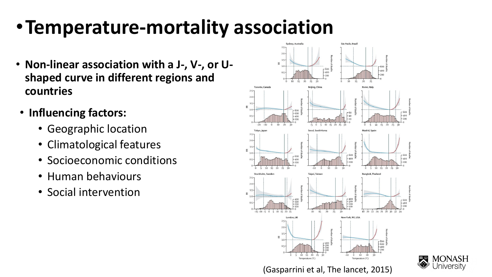## •**Temperature-mortality association**

- **Non-linear association with a J-, V-, or Ushaped curve in different regions and countries**
- **Influencing factors:**
	- Geographic location
	- Climatological features
	- Socioeconomic conditions
	- Human behaviours
	- Social intervention



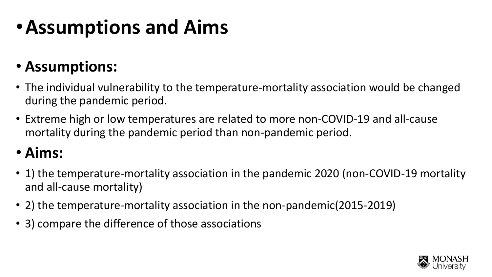# •**Assumptions and Aims**

#### • **Assumptions:**

- The individual vulnerability to the temperature-mortality association would be changed during the pandemic period.
- Extreme high or low temperatures are related to more non-COVID-19 and all-cause mortality during the pandemic period than non-pandemic period.

#### • **Aims:**

- 1) the temperature-mortality association in the pandemic 2020 (non-COVID-19 mortality and all-cause mortality)
- 2) the temperature-mortality association in the non-pandemic(2015-2019)
- 3) compare the difference of those associations

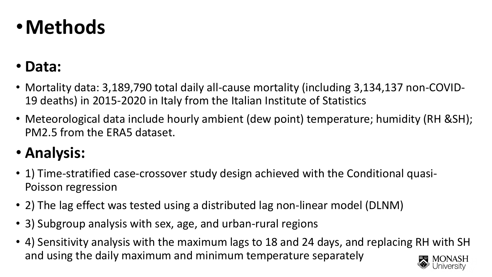# •**Methods**

### • **Data:**

- Mortality data: 3,189,790 total daily all-cause mortality (including 3,134,137 non-COVID-19 deaths) in 2015-2020 in Italy from the Italian Institute of Statistics
- Meteorological data include hourly ambient (dew point) temperature; humidity (RH &SH); PM2.5 from the ERA5 dataset.

### • **Analysis:**

- 1) Time-stratified case-crossover study design achieved with the Conditional quasi-Poisson regression
- 2) The lag effect was tested using a distributed lag non-linear model (DLNM)
- 3) Subgroup analysis with sex, age, and urban-rural regions
- 4) Sensitivity analysis with the maximum lags to 18 and 24 days, and replacing RH with SH and using the daily maximum and minimum temperature separately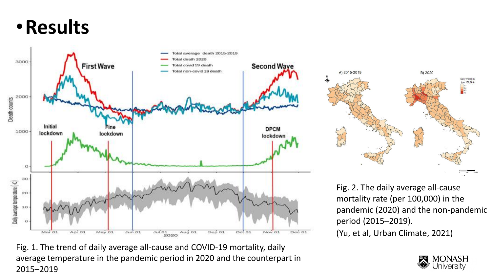## •**Results**





Fig. 2. The daily average all-cause mortality rate (per 100,000) in the pandemic (2020) and the non-pandemic period (2015–2019).

(Yu, et al, Urban Climate, 2021)



Fig. 1. The trend of daily average all-cause and COVID-19 mortality, daily average temperature in the pandemic period in 2020 and the counterpart in 2015–2019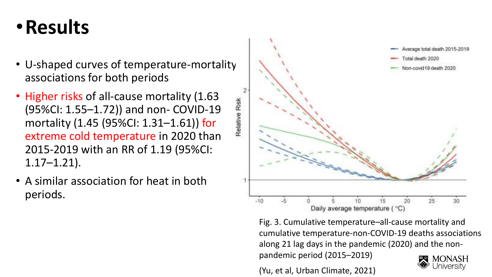## •**Results**

- U-shaped curves of temperature-mortality associations for both periods
- Higher risks of all-cause mortality (1.63) (95%CI: 1.55–1.72)) and non- COVID-19 mortality (1.45 (95%CI: 1.31–1.61)) for extreme cold temperature in 2020 than 2015-2019 with an RR of 1.19 (95%CI:  $1.17 - 1.21$ .
- A similar association for heat in both periods.



Fig. 3. Cumulative temperature–all-cause mortality and cumulative temperature-non-COVID-19 deaths associations along 21 lag days in the pandemic (2020) and the nonpandemic period (2015–2019)

(Yu, et al, Urban Climate, 2021)

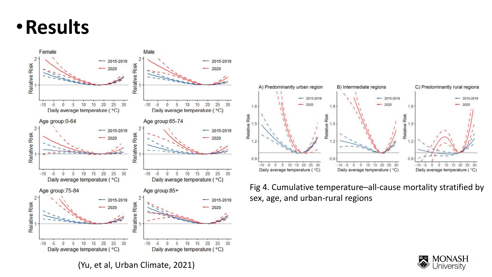## •**Results**





Fig 4. Cumulative temperature–all-cause mortality stratified by sex, age, and urban-rural regions



(Yu, et al, Urban Climate, 2021)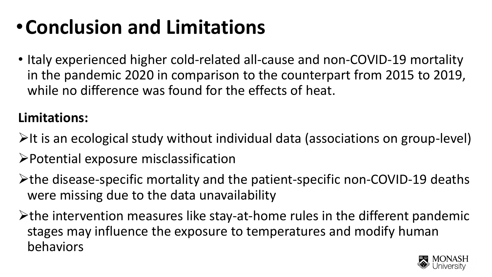# •**Conclusion and Limitations**

• Italy experienced higher cold-related all-cause and non-COVID-19 mortality in the pandemic 2020 in comparison to the counterpart from 2015 to 2019, while no difference was found for the effects of heat.

#### **Limitations:**

- $\triangleright$ It is an ecological study without individual data (associations on group-level)
- ➢Potential exposure misclassification
- ➢the disease-specific mortality and the patient-specific non-COVID-19 deaths were missing due to the data unavailability
- ➢the intervention measures like stay-at-home rules in the different pandemic stages may influence the exposure to temperatures and modify human behaviors